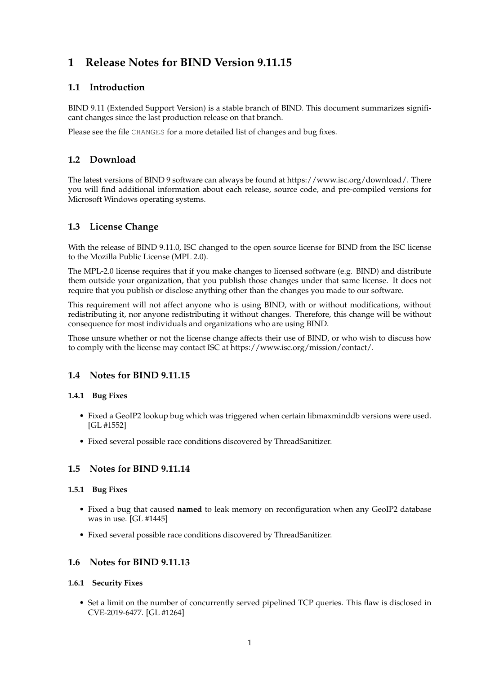# **1 Release Notes for BIND Version 9.11.15**

# **1.1 Introduction**

BIND 9.11 (Extended Support Version) is a stable branch of BIND. This document summarizes significant changes since the last production release on that branch.

Please see the file CHANGES for a more detailed list of changes and bug fixes.

# **1.2 Download**

The latest versions of BIND 9 software can always be found at https://www.isc.org/download/. There you will find additional information about each release, source code, and pre-compiled versions for Microsoft Windows operating systems.

# **1.3 License Change**

With the release of BIND 9.11.0, ISC changed to the open source license for BIND from the ISC license to the Mozilla Public License (MPL 2.0).

The MPL-2.0 license requires that if you make changes to licensed software (e.g. BIND) and distribute them outside your organization, that you publish those changes under that same license. It does not require that you publish or disclose anything other than the changes you made to our software.

This requirement will not affect anyone who is using BIND, with or without modifications, without redistributing it, nor anyone redistributing it without changes. Therefore, this change will be without consequence for most individuals and organizations who are using BIND.

Those unsure whether or not the license change affects their use of BIND, or who wish to discuss how to comply with the license may contact ISC at https://www.isc.org/mission/contact/.

# **1.4 Notes for BIND 9.11.15**

### **1.4.1 Bug Fixes**

- Fixed a GeoIP2 lookup bug which was triggered when certain libmaxminddb versions were used. [GL #1552]
- Fixed several possible race conditions discovered by ThreadSanitizer.

# **1.5 Notes for BIND 9.11.14**

### **1.5.1 Bug Fixes**

- Fixed a bug that caused **named** to leak memory on reconfiguration when any GeoIP2 database was in use. [GL #1445]
- Fixed several possible race conditions discovered by ThreadSanitizer.

### **1.6 Notes for BIND 9.11.13**

### **1.6.1 Security Fixes**

• Set a limit on the number of concurrently served pipelined TCP queries. This flaw is disclosed in CVE-2019-6477. [GL #1264]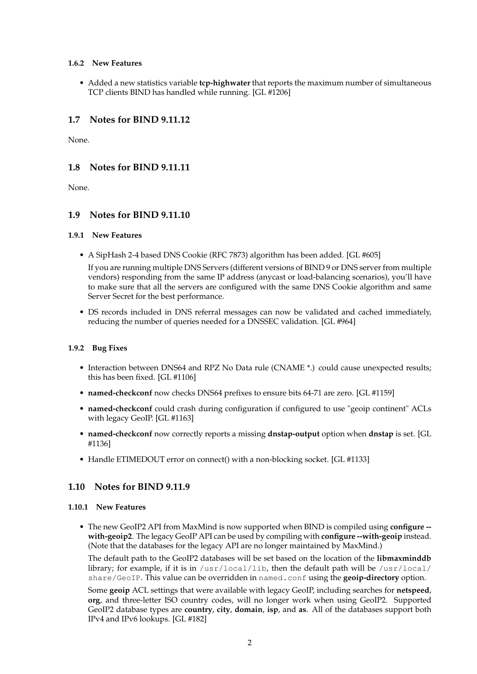#### **1.6.2 New Features**

• Added a new statistics variable **tcp-highwater** that reports the maximum number of simultaneous TCP clients BIND has handled while running. [GL #1206]

# **1.7 Notes for BIND 9.11.12**

None.

# **1.8 Notes for BIND 9.11.11**

None.

# **1.9 Notes for BIND 9.11.10**

#### **1.9.1 New Features**

• A SipHash 2-4 based DNS Cookie (RFC 7873) algorithm has been added. [GL #605]

If you are running multiple DNS Servers (different versions of BIND 9 or DNS server from multiple vendors) responding from the same IP address (anycast or load-balancing scenarios), you'll have to make sure that all the servers are configured with the same DNS Cookie algorithm and same Server Secret for the best performance.

• DS records included in DNS referral messages can now be validated and cached immediately, reducing the number of queries needed for a DNSSEC validation. [GL #964]

### **1.9.2 Bug Fixes**

- Interaction between DNS64 and RPZ No Data rule (CNAME \*.) could cause unexpected results; this has been fixed. [GL #1106]
- **named-checkconf** now checks DNS64 prefixes to ensure bits 64-71 are zero. [GL #1159]
- **named-checkconf** could crash during configuration if configured to use "geoip continent" ACLs with legacy GeoIP. [GL #1163]
- **named-checkconf** now correctly reports a missing **dnstap-output** option when **dnstap** is set. [GL #1136]
- Handle ETIMEDOUT error on connect() with a non-blocking socket. [GL #1133]

### **1.10 Notes for BIND 9.11.9**

### **1.10.1 New Features**

• The new GeoIP2 API from MaxMind is now supported when BIND is compiled using **configure - with-geoip2**. The legacy GeoIP API can be used by compiling with **configure --with-geoip** instead. (Note that the databases for the legacy API are no longer maintained by MaxMind.)

The default path to the GeoIP2 databases will be set based on the location of the **libmaxminddb** library; for example, if it is in  $/$ usr $/$ local $/$ lib, then the default path will be  $/$ usr $/$ local $/$ share/GeoIP. This value can be overridden in named.conf using the **geoip-directory** option.

Some **geoip** ACL settings that were available with legacy GeoIP, including searches for **netspeed**, **org**, and three-letter ISO country codes, will no longer work when using GeoIP2. Supported GeoIP2 database types are **country**, **city**, **domain**, **isp**, and **as**. All of the databases support both IPv4 and IPv6 lookups. [GL #182]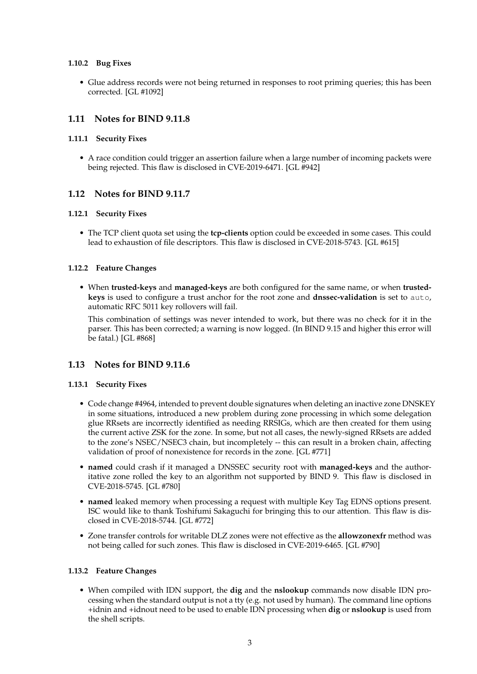#### **1.10.2 Bug Fixes**

• Glue address records were not being returned in responses to root priming queries; this has been corrected. [GL #1092]

# **1.11 Notes for BIND 9.11.8**

#### **1.11.1 Security Fixes**

• A race condition could trigger an assertion failure when a large number of incoming packets were being rejected. This flaw is disclosed in CVE-2019-6471. [GL #942]

# **1.12 Notes for BIND 9.11.7**

#### **1.12.1 Security Fixes**

• The TCP client quota set using the **tcp-clients** option could be exceeded in some cases. This could lead to exhaustion of file descriptors. This flaw is disclosed in CVE-2018-5743. [GL #615]

#### **1.12.2 Feature Changes**

• When **trusted-keys** and **managed-keys** are both configured for the same name, or when **trustedkeys** is used to configure a trust anchor for the root zone and **dnssec-validation** is set to auto, automatic RFC 5011 key rollovers will fail.

This combination of settings was never intended to work, but there was no check for it in the parser. This has been corrected; a warning is now logged. (In BIND 9.15 and higher this error will be fatal.) [GL #868]

### **1.13 Notes for BIND 9.11.6**

#### **1.13.1 Security Fixes**

- Code change #4964, intended to prevent double signatures when deleting an inactive zone DNSKEY in some situations, introduced a new problem during zone processing in which some delegation glue RRsets are incorrectly identified as needing RRSIGs, which are then created for them using the current active ZSK for the zone. In some, but not all cases, the newly-signed RRsets are added to the zone's NSEC/NSEC3 chain, but incompletely -- this can result in a broken chain, affecting validation of proof of nonexistence for records in the zone. [GL #771]
- **named** could crash if it managed a DNSSEC security root with **managed-keys** and the authoritative zone rolled the key to an algorithm not supported by BIND 9. This flaw is disclosed in CVE-2018-5745. [GL #780]
- **named** leaked memory when processing a request with multiple Key Tag EDNS options present. ISC would like to thank Toshifumi Sakaguchi for bringing this to our attention. This flaw is disclosed in CVE-2018-5744. [GL #772]
- Zone transfer controls for writable DLZ zones were not effective as the **allowzonexfr** method was not being called for such zones. This flaw is disclosed in CVE-2019-6465. [GL #790]

### **1.13.2 Feature Changes**

• When compiled with IDN support, the **dig** and the **nslookup** commands now disable IDN processing when the standard output is not a tty (e.g. not used by human). The command line options +idnin and +idnout need to be used to enable IDN processing when **dig** or **nslookup** is used from the shell scripts.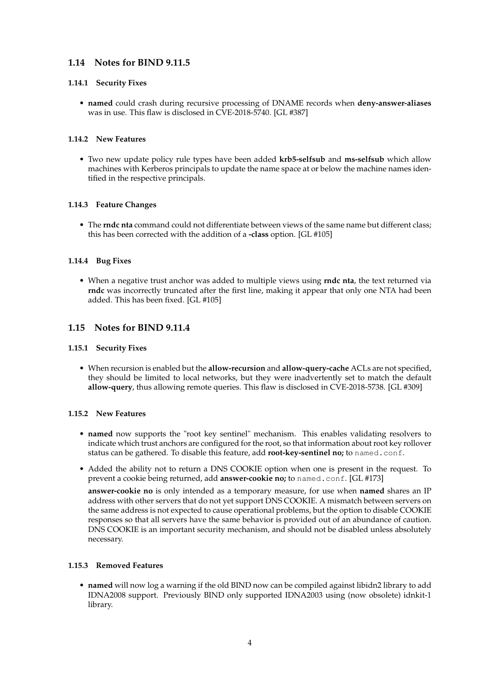# **1.14 Notes for BIND 9.11.5**

### **1.14.1 Security Fixes**

• **named** could crash during recursive processing of DNAME records when **deny-answer-aliases** was in use. This flaw is disclosed in CVE-2018-5740. [GL #387]

# **1.14.2 New Features**

• Two new update policy rule types have been added **krb5-selfsub** and **ms-selfsub** which allow machines with Kerberos principals to update the name space at or below the machine names identified in the respective principals.

# **1.14.3 Feature Changes**

• The **rndc nta** command could not differentiate between views of the same name but different class; this has been corrected with the addition of a **-class** option. [GL #105]

# **1.14.4 Bug Fixes**

• When a negative trust anchor was added to multiple views using **rndc nta**, the text returned via **rndc** was incorrectly truncated after the first line, making it appear that only one NTA had been added. This has been fixed. [GL #105]

# **1.15 Notes for BIND 9.11.4**

### **1.15.1 Security Fixes**

• When recursion is enabled but the **allow-recursion** and **allow-query-cache** ACLs are not specified, they should be limited to local networks, but they were inadvertently set to match the default **allow-query**, thus allowing remote queries. This flaw is disclosed in CVE-2018-5738. [GL #309]

### **1.15.2 New Features**

- **named** now supports the "root key sentinel" mechanism. This enables validating resolvers to indicate which trust anchors are configured for the root, so that information about root key rollover status can be gathered. To disable this feature, add **root-key-sentinel no;** to named.conf.
- Added the ability not to return a DNS COOKIE option when one is present in the request. To prevent a cookie being returned, add **answer-cookie no;** to named.conf. [GL #173]

**answer-cookie no** is only intended as a temporary measure, for use when **named** shares an IP address with other servers that do not yet support DNS COOKIE. A mismatch between servers on the same address is not expected to cause operational problems, but the option to disable COOKIE responses so that all servers have the same behavior is provided out of an abundance of caution. DNS COOKIE is an important security mechanism, and should not be disabled unless absolutely necessary.

### **1.15.3 Removed Features**

• **named** will now log a warning if the old BIND now can be compiled against libidn2 library to add IDNA2008 support. Previously BIND only supported IDNA2003 using (now obsolete) idnkit-1 library.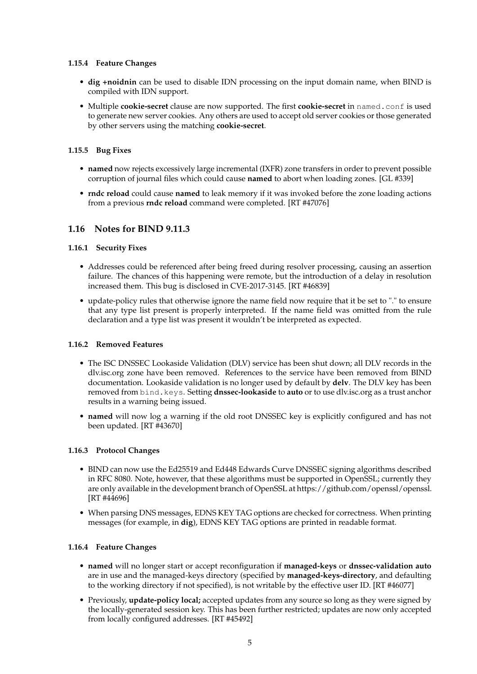#### **1.15.4 Feature Changes**

- **dig +noidnin** can be used to disable IDN processing on the input domain name, when BIND is compiled with IDN support.
- Multiple **cookie-secret** clause are now supported. The first **cookie-secret** in named.conf is used to generate new server cookies. Any others are used to accept old server cookies or those generated by other servers using the matching **cookie-secret**.

#### **1.15.5 Bug Fixes**

- **named** now rejects excessively large incremental (IXFR) zone transfers in order to prevent possible corruption of journal files which could cause **named** to abort when loading zones. [GL #339]
- **rndc reload** could cause **named** to leak memory if it was invoked before the zone loading actions from a previous **rndc reload** command were completed. [RT #47076]

# **1.16 Notes for BIND 9.11.3**

#### **1.16.1 Security Fixes**

- Addresses could be referenced after being freed during resolver processing, causing an assertion failure. The chances of this happening were remote, but the introduction of a delay in resolution increased them. This bug is disclosed in CVE-2017-3145. [RT #46839]
- update-policy rules that otherwise ignore the name field now require that it be set to "." to ensure that any type list present is properly interpreted. If the name field was omitted from the rule declaration and a type list was present it wouldn't be interpreted as expected.

#### **1.16.2 Removed Features**

- The ISC DNSSEC Lookaside Validation (DLV) service has been shut down; all DLV records in the dlv.isc.org zone have been removed. References to the service have been removed from BIND documentation. Lookaside validation is no longer used by default by **delv**. The DLV key has been removed from bind.keys. Setting **dnssec-lookaside** to **auto** or to use dlv.isc.org as a trust anchor results in a warning being issued.
- **named** will now log a warning if the old root DNSSEC key is explicitly configured and has not been updated. [RT #43670]

#### **1.16.3 Protocol Changes**

- BIND can now use the Ed25519 and Ed448 Edwards Curve DNSSEC signing algorithms described in RFC 8080. Note, however, that these algorithms must be supported in OpenSSL; currently they are only available in the development branch of OpenSSL at https://github.com/openssl/openssl. [RT #44696]
- When parsing DNS messages, EDNS KEY TAG options are checked for correctness. When printing messages (for example, in **dig**), EDNS KEY TAG options are printed in readable format.

### **1.16.4 Feature Changes**

- **named** will no longer start or accept reconfiguration if **managed-keys** or **dnssec-validation auto** are in use and the managed-keys directory (specified by **managed-keys-directory**, and defaulting to the working directory if not specified), is not writable by the effective user ID. [RT #46077]
- Previously, **update-policy local;** accepted updates from any source so long as they were signed by the locally-generated session key. This has been further restricted; updates are now only accepted from locally configured addresses. [RT #45492]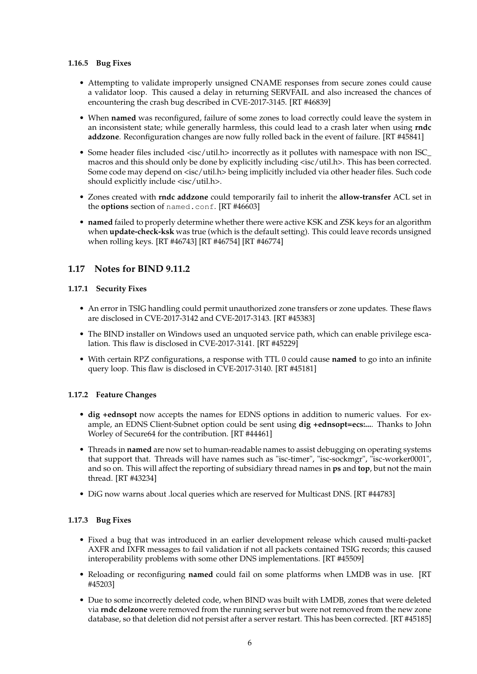#### **1.16.5 Bug Fixes**

- Attempting to validate improperly unsigned CNAME responses from secure zones could cause a validator loop. This caused a delay in returning SERVFAIL and also increased the chances of encountering the crash bug described in CVE-2017-3145. [RT #46839]
- When **named** was reconfigured, failure of some zones to load correctly could leave the system in an inconsistent state; while generally harmless, this could lead to a crash later when using **rndc addzone**. Reconfiguration changes are now fully rolled back in the event of failure. [RT #45841]
- Some header files included <isc/util.h> incorrectly as it pollutes with namespace with non ISC\_ macros and this should only be done by explicitly including <isc/util.h>. This has been corrected. Some code may depend on <isc/util.h> being implicitly included via other header files. Such code should explicitly include <isc/util.h>.
- Zones created with **rndc addzone** could temporarily fail to inherit the **allow-transfer** ACL set in the **options** section of named.conf. [RT #46603]
- **named** failed to properly determine whether there were active KSK and ZSK keys for an algorithm when **update-check-ksk** was true (which is the default setting). This could leave records unsigned when rolling keys. [RT #46743] [RT #46754] [RT #46774]

# **1.17 Notes for BIND 9.11.2**

### **1.17.1 Security Fixes**

- An error in TSIG handling could permit unauthorized zone transfers or zone updates. These flaws are disclosed in CVE-2017-3142 and CVE-2017-3143. [RT #45383]
- The BIND installer on Windows used an unquoted service path, which can enable privilege escalation. This flaw is disclosed in CVE-2017-3141. [RT #45229]
- With certain RPZ configurations, a response with TTL 0 could cause **named** to go into an infinite query loop. This flaw is disclosed in CVE-2017-3140. [RT #45181]

### **1.17.2 Feature Changes**

- **dig +ednsopt** now accepts the names for EDNS options in addition to numeric values. For example, an EDNS Client-Subnet option could be sent using **dig +ednsopt=ecs:...**. Thanks to John Worley of Secure64 for the contribution. [RT #44461]
- Threads in **named** are now set to human-readable names to assist debugging on operating systems that support that. Threads will have names such as "isc-timer", "isc-sockmgr", "isc-worker0001", and so on. This will affect the reporting of subsidiary thread names in **ps** and **top**, but not the main thread. [RT #43234]
- DiG now warns about .local queries which are reserved for Multicast DNS. [RT #44783]

# **1.17.3 Bug Fixes**

- Fixed a bug that was introduced in an earlier development release which caused multi-packet AXFR and IXFR messages to fail validation if not all packets contained TSIG records; this caused interoperability problems with some other DNS implementations. [RT #45509]
- Reloading or reconfiguring **named** could fail on some platforms when LMDB was in use. [RT #45203]
- Due to some incorrectly deleted code, when BIND was built with LMDB, zones that were deleted via **rndc delzone** were removed from the running server but were not removed from the new zone database, so that deletion did not persist after a server restart. This has been corrected. [RT #45185]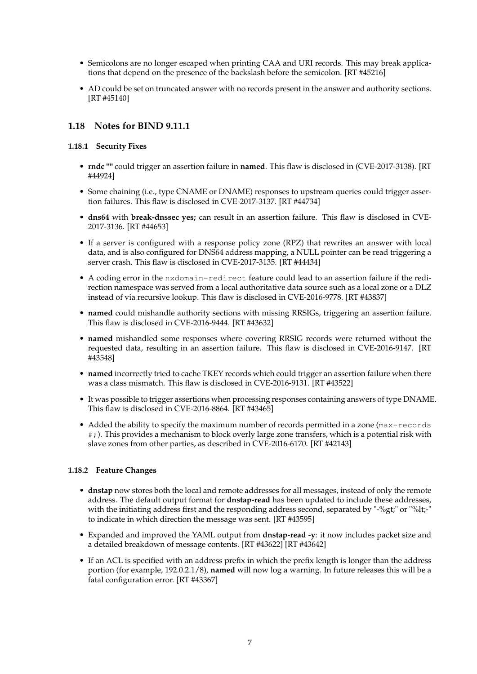- Semicolons are no longer escaped when printing CAA and URI records. This may break applications that depend on the presence of the backslash before the semicolon. [RT #45216]
- AD could be set on truncated answer with no records present in the answer and authority sections. [RT #45140]

# **1.18 Notes for BIND 9.11.1**

### **1.18.1 Security Fixes**

- **rndc ""** could trigger an assertion failure in **named**. This flaw is disclosed in (CVE-2017-3138). [RT #44924]
- Some chaining (i.e., type CNAME or DNAME) responses to upstream queries could trigger assertion failures. This flaw is disclosed in CVE-2017-3137. [RT #44734]
- **dns64** with **break-dnssec yes;** can result in an assertion failure. This flaw is disclosed in CVE-2017-3136. [RT #44653]
- If a server is configured with a response policy zone (RPZ) that rewrites an answer with local data, and is also configured for DNS64 address mapping, a NULL pointer can be read triggering a server crash. This flaw is disclosed in CVE-2017-3135. [RT #44434]
- A coding error in the nxdomain-redirect feature could lead to an assertion failure if the redirection namespace was served from a local authoritative data source such as a local zone or a DLZ instead of via recursive lookup. This flaw is disclosed in CVE-2016-9778. [RT #43837]
- **named** could mishandle authority sections with missing RRSIGs, triggering an assertion failure. This flaw is disclosed in CVE-2016-9444. [RT #43632]
- **named** mishandled some responses where covering RRSIG records were returned without the requested data, resulting in an assertion failure. This flaw is disclosed in CVE-2016-9147. [RT #43548]
- **named** incorrectly tried to cache TKEY records which could trigger an assertion failure when there was a class mismatch. This flaw is disclosed in CVE-2016-9131. [RT #43522]
- It was possible to trigger assertions when processing responses containing answers of type DNAME. This flaw is disclosed in CVE-2016-8864. [RT #43465]
- Added the ability to specify the maximum number of records permitted in a zone (max-records #;). This provides a mechanism to block overly large zone transfers, which is a potential risk with slave zones from other parties, as described in CVE-2016-6170. [RT #42143]

### **1.18.2 Feature Changes**

- **dnstap** now stores both the local and remote addresses for all messages, instead of only the remote address. The default output format for **dnstap-read** has been updated to include these addresses, with the initiating address first and the responding address second, separated by "-%gt;" or "%lt;-" to indicate in which direction the message was sent. [RT #43595]
- Expanded and improved the YAML output from **dnstap-read -y**: it now includes packet size and a detailed breakdown of message contents. [RT #43622] [RT #43642]
- If an ACL is specified with an address prefix in which the prefix length is longer than the address portion (for example, 192.0.2.1/8), **named** will now log a warning. In future releases this will be a fatal configuration error. [RT #43367]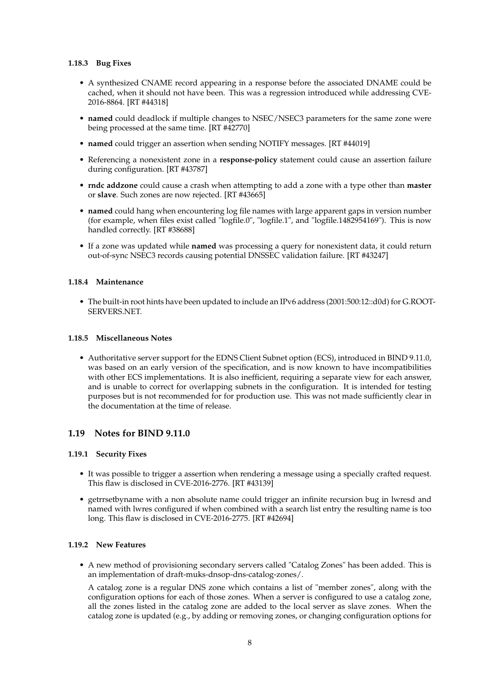#### **1.18.3 Bug Fixes**

- A synthesized CNAME record appearing in a response before the associated DNAME could be cached, when it should not have been. This was a regression introduced while addressing CVE-2016-8864. [RT #44318]
- **named** could deadlock if multiple changes to NSEC/NSEC3 parameters for the same zone were being processed at the same time. [RT #42770]
- **named** could trigger an assertion when sending NOTIFY messages. [RT #44019]
- Referencing a nonexistent zone in a **response-policy** statement could cause an assertion failure during configuration. [RT #43787]
- **rndc addzone** could cause a crash when attempting to add a zone with a type other than **master** or **slave**. Such zones are now rejected. [RT #43665]
- **named** could hang when encountering log file names with large apparent gaps in version number (for example, when files exist called "logfile.0", "logfile.1", and "logfile.1482954169"). This is now handled correctly. [RT #38688]
- If a zone was updated while **named** was processing a query for nonexistent data, it could return out-of-sync NSEC3 records causing potential DNSSEC validation failure. [RT #43247]

#### **1.18.4 Maintenance**

• The built-in root hints have been updated to include an IPv6 address (2001:500:12::d0d) for G.ROOT-SERVERS.NET.

#### **1.18.5 Miscellaneous Notes**

• Authoritative server support for the EDNS Client Subnet option (ECS), introduced in BIND 9.11.0, was based on an early version of the specification, and is now known to have incompatibilities with other ECS implementations. It is also inefficient, requiring a separate view for each answer, and is unable to correct for overlapping subnets in the configuration. It is intended for testing purposes but is not recommended for for production use. This was not made sufficiently clear in the documentation at the time of release.

### **1.19 Notes for BIND 9.11.0**

#### **1.19.1 Security Fixes**

- It was possible to trigger a assertion when rendering a message using a specially crafted request. This flaw is disclosed in CVE-2016-2776. [RT #43139]
- getrrsetbyname with a non absolute name could trigger an infinite recursion bug in lwresd and named with lwres configured if when combined with a search list entry the resulting name is too long. This flaw is disclosed in CVE-2016-2775. [RT #42694]

### **1.19.2 New Features**

• A new method of provisioning secondary servers called "Catalog Zones" has been added. This is an implementation of draft-muks-dnsop-dns-catalog-zones/.

A catalog zone is a regular DNS zone which contains a list of "member zones", along with the configuration options for each of those zones. When a server is configured to use a catalog zone, all the zones listed in the catalog zone are added to the local server as slave zones. When the catalog zone is updated (e.g., by adding or removing zones, or changing configuration options for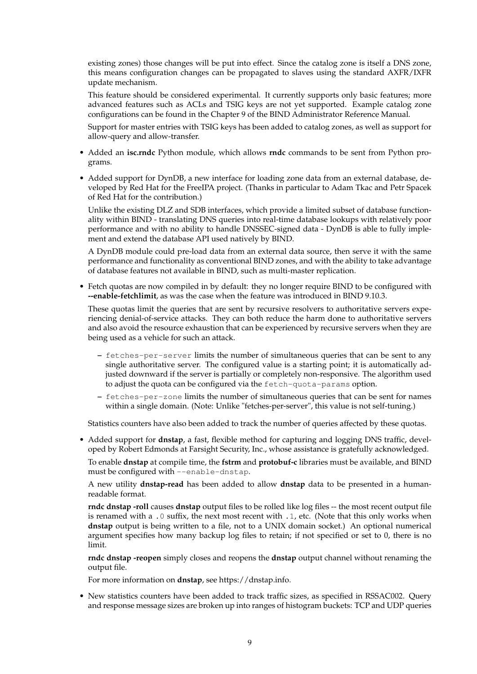existing zones) those changes will be put into effect. Since the catalog zone is itself a DNS zone, this means configuration changes can be propagated to slaves using the standard AXFR/IXFR update mechanism.

This feature should be considered experimental. It currently supports only basic features; more advanced features such as ACLs and TSIG keys are not yet supported. Example catalog zone configurations can be found in the Chapter 9 of the BIND Administrator Reference Manual.

Support for master entries with TSIG keys has been added to catalog zones, as well as support for allow-query and allow-transfer.

- Added an **isc.rndc** Python module, which allows **rndc** commands to be sent from Python programs.
- Added support for DynDB, a new interface for loading zone data from an external database, developed by Red Hat for the FreeIPA project. (Thanks in particular to Adam Tkac and Petr Spacek of Red Hat for the contribution.)

Unlike the existing DLZ and SDB interfaces, which provide a limited subset of database functionality within BIND - translating DNS queries into real-time database lookups with relatively poor performance and with no ability to handle DNSSEC-signed data - DynDB is able to fully implement and extend the database API used natively by BIND.

A DynDB module could pre-load data from an external data source, then serve it with the same performance and functionality as conventional BIND zones, and with the ability to take advantage of database features not available in BIND, such as multi-master replication.

• Fetch quotas are now compiled in by default: they no longer require BIND to be configured with **--enable-fetchlimit**, as was the case when the feature was introduced in BIND 9.10.3.

These quotas limit the queries that are sent by recursive resolvers to authoritative servers experiencing denial-of-service attacks. They can both reduce the harm done to authoritative servers and also avoid the resource exhaustion that can be experienced by recursive servers when they are being used as a vehicle for such an attack.

- **–** fetches-per-server limits the number of simultaneous queries that can be sent to any single authoritative server. The configured value is a starting point; it is automatically adjusted downward if the server is partially or completely non-responsive. The algorithm used to adjust the quota can be configured via the fetch-quota-params option.
- **–** fetches-per-zone limits the number of simultaneous queries that can be sent for names within a single domain. (Note: Unlike "fetches-per-server", this value is not self-tuning.)

Statistics counters have also been added to track the number of queries affected by these quotas.

• Added support for **dnstap**, a fast, flexible method for capturing and logging DNS traffic, developed by Robert Edmonds at Farsight Security, Inc., whose assistance is gratefully acknowledged.

To enable **dnstap** at compile time, the **fstrm** and **protobuf-c** libraries must be available, and BIND must be configured with --enable-dnstap.

A new utility **dnstap-read** has been added to allow **dnstap** data to be presented in a humanreadable format.

**rndc dnstap -roll** causes **dnstap** output files to be rolled like log files -- the most recent output file is renamed with a .0 suffix, the next most recent with .1, etc. (Note that this only works when **dnstap** output is being written to a file, not to a UNIX domain socket.) An optional numerical argument specifies how many backup log files to retain; if not specified or set to 0, there is no limit.

**rndc dnstap -reopen** simply closes and reopens the **dnstap** output channel without renaming the output file.

For more information on **dnstap**, see https://dnstap.info.

• New statistics counters have been added to track traffic sizes, as specified in RSSAC002. Query and response message sizes are broken up into ranges of histogram buckets: TCP and UDP queries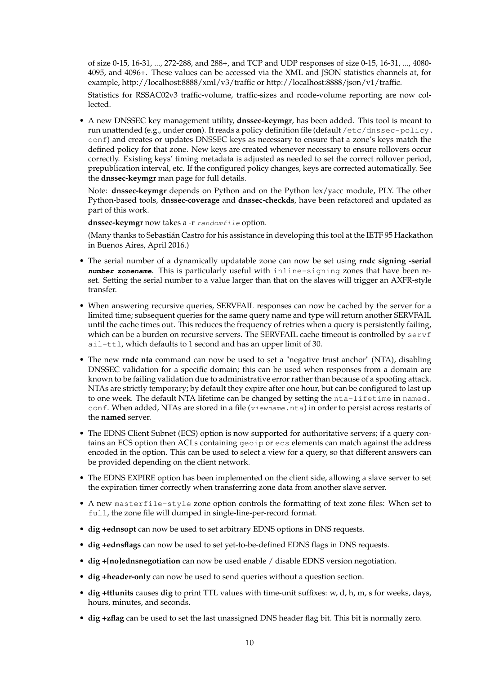of size 0-15, 16-31, ..., 272-288, and 288+, and TCP and UDP responses of size 0-15, 16-31, ..., 4080- 4095, and 4096+. These values can be accessed via the XML and JSON statistics channels at, for example, http://localhost:8888/xml/v3/traffic or http://localhost:8888/json/v1/traffic.

Statistics for RSSAC02v3 traffic-volume, traffic-sizes and rcode-volume reporting are now collected.

• A new DNSSEC key management utility, **dnssec-keymgr**, has been added. This tool is meant to run unattended (e.g., under **cron**). It reads a policy definition file (default /etc/dnssec-policy. conf) and creates or updates DNSSEC keys as necessary to ensure that a zone's keys match the defined policy for that zone. New keys are created whenever necessary to ensure rollovers occur correctly. Existing keys' timing metadata is adjusted as needed to set the correct rollover period, prepublication interval, etc. If the configured policy changes, keys are corrected automatically. See the **dnssec-keymgr** man page for full details.

Note: **dnssec-keymgr** depends on Python and on the Python lex/yacc module, PLY. The other Python-based tools, **dnssec-coverage** and **dnssec-checkds**, have been refactored and updated as part of this work.

dnssec-keymgr now takes a -r randomfile option.

(Many thanks to Sebastián Castro for his assistance in developing this tool at the IETF 95 Hackathon in Buenos Aires, April 2016.)

- The serial number of a dynamically updatable zone can now be set using **rndc signing -serial number zonename**. This is particularly useful with inline-signing zones that have been reset. Setting the serial number to a value larger than that on the slaves will trigger an AXFR-style transfer.
- When answering recursive queries, SERVFAIL responses can now be cached by the server for a limited time; subsequent queries for the same query name and type will return another SERVFAIL until the cache times out. This reduces the frequency of retries when a query is persistently failing, which can be a burden on recursive servers. The SERVFAIL cache timeout is controlled by  $servf$ ail-ttl, which defaults to 1 second and has an upper limit of 30.
- The new **rndc nta** command can now be used to set a "negative trust anchor" (NTA), disabling DNSSEC validation for a specific domain; this can be used when responses from a domain are known to be failing validation due to administrative error rather than because of a spoofing attack. NTAs are strictly temporary; by default they expire after one hour, but can be configured to last up to one week. The default NTA lifetime can be changed by setting the nta-lifetime in named. conf. When added, NTAs are stored in a file (viewname.nta) in order to persist across restarts of the **named** server.
- The EDNS Client Subnet (ECS) option is now supported for authoritative servers; if a query contains an ECS option then ACLs containing geoip or ecs elements can match against the address encoded in the option. This can be used to select a view for a query, so that different answers can be provided depending on the client network.
- The EDNS EXPIRE option has been implemented on the client side, allowing a slave server to set the expiration timer correctly when transferring zone data from another slave server.
- A new masterfile-style zone option controls the formatting of text zone files: When set to full, the zone file will dumped in single-line-per-record format.
- **dig +ednsopt** can now be used to set arbitrary EDNS options in DNS requests.
- **dig +ednsflags** can now be used to set yet-to-be-defined EDNS flags in DNS requests.
- **dig +[no]ednsnegotiation** can now be used enable / disable EDNS version negotiation.
- **dig +header-only** can now be used to send queries without a question section.
- **dig +ttlunits** causes **dig** to print TTL values with time-unit suffixes: w, d, h, m, s for weeks, days, hours, minutes, and seconds.
- **dig +zflag** can be used to set the last unassigned DNS header flag bit. This bit is normally zero.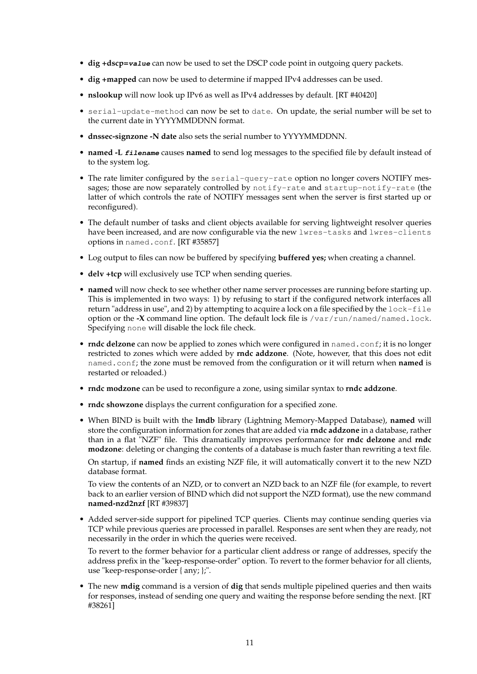- **dig +dscp=value** can now be used to set the DSCP code point in outgoing query packets.
- **dig +mapped** can now be used to determine if mapped IPv4 addresses can be used.
- **nslookup** will now look up IPv6 as well as IPv4 addresses by default. [RT #40420]
- serial-update-method can now be set to date. On update, the serial number will be set to the current date in YYYYMMDDNN format.
- **dnssec-signzone -N date** also sets the serial number to YYYYMMDDNN.
- **named -L filename** causes **named** to send log messages to the specified file by default instead of to the system log.
- The rate limiter configured by the serial-query-rate option no longer covers NOTIFY messages; those are now separately controlled by notify-rate and startup-notify-rate (the latter of which controls the rate of NOTIFY messages sent when the server is first started up or reconfigured).
- The default number of tasks and client objects available for serving lightweight resolver queries have been increased, and are now configurable via the new lwres-tasks and lwres-clients options in named.conf. [RT #35857]
- Log output to files can now be buffered by specifying **buffered yes;** when creating a channel.
- **delv +tcp** will exclusively use TCP when sending queries.
- **named** will now check to see whether other name server processes are running before starting up. This is implemented in two ways: 1) by refusing to start if the configured network interfaces all return "address in use", and 2) by attempting to acquire a lock on a file specified by the lock-file option or the **-X** command line option. The default lock file is /var/run/named/named.lock. Specifying none will disable the lock file check.
- **rndc delzone** can now be applied to zones which were configured in named.conf; it is no longer restricted to zones which were added by **rndc addzone**. (Note, however, that this does not edit named.conf; the zone must be removed from the configuration or it will return when **named** is restarted or reloaded.)
- **rndc modzone** can be used to reconfigure a zone, using similar syntax to **rndc addzone**.
- **rndc showzone** displays the current configuration for a specified zone.
- When BIND is built with the **lmdb** library (Lightning Memory-Mapped Database), **named** will store the configuration information for zones that are added via **rndc addzone** in a database, rather than in a flat "NZF" file. This dramatically improves performance for **rndc delzone** and **rndc modzone**: deleting or changing the contents of a database is much faster than rewriting a text file.

On startup, if **named** finds an existing NZF file, it will automatically convert it to the new NZD database format.

To view the contents of an NZD, or to convert an NZD back to an NZF file (for example, to revert back to an earlier version of BIND which did not support the NZD format), use the new command **named-nzd2nzf** [RT #39837]

• Added server-side support for pipelined TCP queries. Clients may continue sending queries via TCP while previous queries are processed in parallel. Responses are sent when they are ready, not necessarily in the order in which the queries were received.

To revert to the former behavior for a particular client address or range of addresses, specify the address prefix in the "keep-response-order" option. To revert to the former behavior for all clients, use "keep-response-order { any; };".

• The new **mdig** command is a version of **dig** that sends multiple pipelined queries and then waits for responses, instead of sending one query and waiting the response before sending the next. [RT #38261]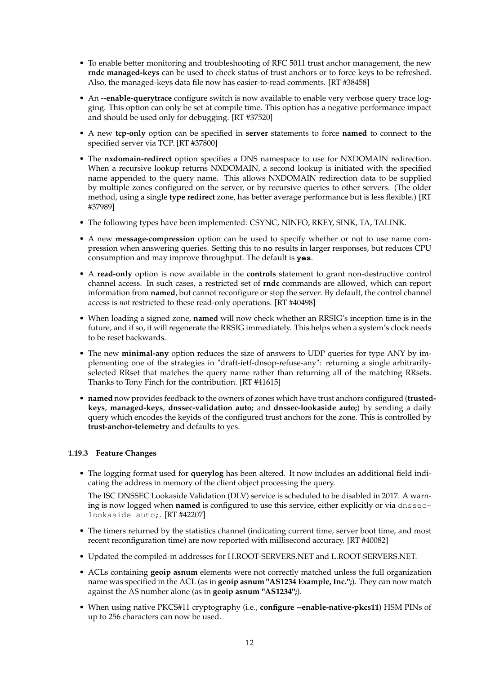- To enable better monitoring and troubleshooting of RFC 5011 trust anchor management, the new **rndc managed-keys** can be used to check status of trust anchors or to force keys to be refreshed. Also, the managed-keys data file now has easier-to-read comments. [RT #38458]
- An **--enable-querytrace** configure switch is now available to enable very verbose query trace logging. This option can only be set at compile time. This option has a negative performance impact and should be used only for debugging. [RT #37520]
- A new **tcp-only** option can be specified in **server** statements to force **named** to connect to the specified server via TCP. [RT #37800]
- The **nxdomain-redirect** option specifies a DNS namespace to use for NXDOMAIN redirection. When a recursive lookup returns NXDOMAIN, a second lookup is initiated with the specified name appended to the query name. This allows NXDOMAIN redirection data to be supplied by multiple zones configured on the server, or by recursive queries to other servers. (The older method, using a single **type redirect** zone, has better average performance but is less flexible.) [RT #37989]
- The following types have been implemented: CSYNC, NINFO, RKEY, SINK, TA, TALINK.
- A new **message-compression** option can be used to specify whether or not to use name compression when answering queries. Setting this to **no** results in larger responses, but reduces CPU consumption and may improve throughput. The default is **yes**.
- A **read-only** option is now available in the **controls** statement to grant non-destructive control channel access. In such cases, a restricted set of **rndc** commands are allowed, which can report information from **named**, but cannot reconfigure or stop the server. By default, the control channel access is *not* restricted to these read-only operations. [RT #40498]
- When loading a signed zone, **named** will now check whether an RRSIG's inception time is in the future, and if so, it will regenerate the RRSIG immediately. This helps when a system's clock needs to be reset backwards.
- The new **minimal-any** option reduces the size of answers to UDP queries for type ANY by implementing one of the strategies in "draft-ietf-dnsop-refuse-any": returning a single arbitrarilyselected RRset that matches the query name rather than returning all of the matching RRsets. Thanks to Tony Finch for the contribution. [RT #41615]
- **named** now provides feedback to the owners of zones which have trust anchors configured (**trustedkeys**, **managed-keys**, **dnssec-validation auto;** and **dnssec-lookaside auto;**) by sending a daily query which encodes the keyids of the configured trust anchors for the zone. This is controlled by **trust-anchor-telemetry** and defaults to yes.

### **1.19.3 Feature Changes**

• The logging format used for **querylog** has been altered. It now includes an additional field indicating the address in memory of the client object processing the query.

The ISC DNSSEC Lookaside Validation (DLV) service is scheduled to be disabled in 2017. A warning is now logged when **named** is configured to use this service, either explicitly or via dnsseclookaside auto;. [RT #42207]

- The timers returned by the statistics channel (indicating current time, server boot time, and most recent reconfiguration time) are now reported with millisecond accuracy. [RT #40082]
- Updated the compiled-in addresses for H.ROOT-SERVERS.NET and L.ROOT-SERVERS.NET.
- ACLs containing **geoip asnum** elements were not correctly matched unless the full organization name was specified in the ACL (as in **geoip asnum "AS1234 Example, Inc.";**). They can now match against the AS number alone (as in **geoip asnum "AS1234";**).
- When using native PKCS#11 cryptography (i.e., **configure --enable-native-pkcs11**) HSM PINs of up to 256 characters can now be used.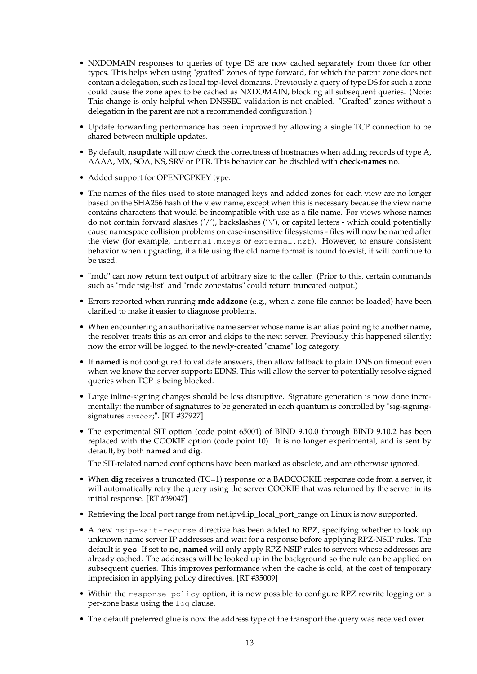- NXDOMAIN responses to queries of type DS are now cached separately from those for other types. This helps when using "grafted" zones of type forward, for which the parent zone does not contain a delegation, such as local top-level domains. Previously a query of type DS for such a zone could cause the zone apex to be cached as NXDOMAIN, blocking all subsequent queries. (Note: This change is only helpful when DNSSEC validation is not enabled. "Grafted" zones without a delegation in the parent are not a recommended configuration.)
- Update forwarding performance has been improved by allowing a single TCP connection to be shared between multiple updates.
- By default, **nsupdate** will now check the correctness of hostnames when adding records of type A, AAAA, MX, SOA, NS, SRV or PTR. This behavior can be disabled with **check-names no**.
- Added support for OPENPGPKEY type.
- The names of the files used to store managed keys and added zones for each view are no longer based on the SHA256 hash of the view name, except when this is necessary because the view name contains characters that would be incompatible with use as a file name. For views whose names do not contain forward slashes  $('')$ , backslashes  $('')$ , or capital letters - which could potentially cause namespace collision problems on case-insensitive filesystems - files will now be named after the view (for example, internal.mkeys or external.nzf). However, to ensure consistent behavior when upgrading, if a file using the old name format is found to exist, it will continue to be used.
- "rndc" can now return text output of arbitrary size to the caller. (Prior to this, certain commands such as "rndc tsig-list" and "rndc zonestatus" could return truncated output.)
- Errors reported when running **rndc addzone** (e.g., when a zone file cannot be loaded) have been clarified to make it easier to diagnose problems.
- When encountering an authoritative name server whose name is an alias pointing to another name, the resolver treats this as an error and skips to the next server. Previously this happened silently; now the error will be logged to the newly-created "cname" log category.
- If **named** is not configured to validate answers, then allow fallback to plain DNS on timeout even when we know the server supports EDNS. This will allow the server to potentially resolve signed queries when TCP is being blocked.
- Large inline-signing changes should be less disruptive. Signature generation is now done incrementally; the number of signatures to be generated in each quantum is controlled by "sig-signingsignatures number;". [RT #37927]
- The experimental SIT option (code point 65001) of BIND 9.10.0 through BIND 9.10.2 has been replaced with the COOKIE option (code point 10). It is no longer experimental, and is sent by default, by both **named** and **dig**.

The SIT-related named.conf options have been marked as obsolete, and are otherwise ignored.

- When **dig** receives a truncated (TC=1) response or a BADCOOKIE response code from a server, it will automatically retry the query using the server COOKIE that was returned by the server in its initial response. [RT #39047]
- Retrieving the local port range from net.ipv4.ip\_local\_port\_range on Linux is now supported.
- A new nsip-wait-recurse directive has been added to RPZ, specifying whether to look up unknown name server IP addresses and wait for a response before applying RPZ-NSIP rules. The default is **yes**. If set to **no**, **named** will only apply RPZ-NSIP rules to servers whose addresses are already cached. The addresses will be looked up in the background so the rule can be applied on subsequent queries. This improves performance when the cache is cold, at the cost of temporary imprecision in applying policy directives. [RT #35009]
- Within the response-policy option, it is now possible to configure RPZ rewrite logging on a per-zone basis using the log clause.
- The default preferred glue is now the address type of the transport the query was received over.